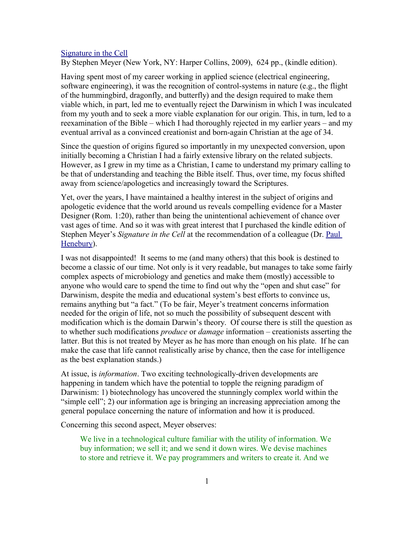## [Signature in the Cell](http://www.bestbookdeal.com/booksearch?isbn=978-0061472794)

By Stephen Meyer (New York, NY: Harper Collins, 2009), 624 pp., (kindle edition).

Having spent most of my career working in applied science (electrical engineering, software engineering), it was the recognition of control-systems in nature (e.g., the flight of the hummingbird, dragonfly, and butterfly) and the design required to make them viable which, in part, led me to eventually reject the Darwinism in which I was inculcated from my youth and to seek a more viable explanation for our origin. This, in turn, led to a reexamination of the Bible – which I had thoroughly rejected in my earlier years – and my eventual arrival as a convinced creationist and born-again Christian at the age of 34.

Since the question of origins figured so importantly in my unexpected conversion, upon initially becoming a Christian I had a fairly extensive library on the related subjects. However, as I grew in my time as a Christian, I came to understand my primary calling to be that of understanding and teaching the Bible itself. Thus, over time, my focus shifted away from science/apologetics and increasingly toward the Scriptures.

Yet, over the years, I have maintained a healthy interest in the subject of origins and apologetic evidence that the world around us reveals compelling evidence for a Master Designer (Rom. 1:20), rather than being the unintentional achievement of chance over vast ages of time. And so it was with great interest that I purchased the kindle edition of Stephen Meyer's *Signature in the Cell* at the recommendation of a colleague (Dr. [Paul](http://www.spiritandtruth.org/id/ph.htm) [Henebury\)](http://www.spiritandtruth.org/id/ph.htm).

I was not disappointed! It seems to me (and many others) that this book is destined to become a classic of our time. Not only is it very readable, but manages to take some fairly complex aspects of microbiology and genetics and make them (mostly) accessible to anyone who would care to spend the time to find out why the "open and shut case" for Darwinism, despite the media and educational system's best efforts to convince us, remains anything but "a fact." (To be fair, Meyer's treatment concerns information needed for the origin of life, not so much the possibility of subsequent descent with modification which is the domain Darwin's theory. Of course there is still the question as to whether such modifications *produce* or *damage* information – creationists asserting the latter. But this is not treated by Meyer as he has more than enough on his plate. If he can make the case that life cannot realistically arise by chance, then the case for intelligence as the best explanation stands.)

At issue, is *information*. Two exciting technologically-driven developments are happening in tandem which have the potential to topple the reigning paradigm of Darwinism: 1) biotechnology has uncovered the stunningly complex world within the "simple cell"; 2) our information age is bringing an increasing appreciation among the general populace concerning the nature of information and how it is produced.

Concerning this second aspect, Meyer observes:

We live in a technological culture familiar with the utility of information. We buy information; we sell it; and we send it down wires. We devise machines to store and retrieve it. We pay programmers and writers to create it. And we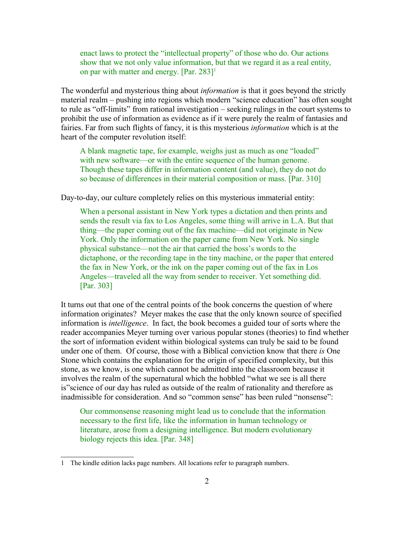enact laws to protect the "intellectual property" of those who do. Our actions show that we not only value information, but that we regard it as a real entity, on par with matter and energy.  $[Par. 283]$ <sup>[1](#page-1-0)</sup>

The wonderful and mysterious thing about *information* is that it goes beyond the strictly material realm – pushing into regions which modern "science education" has often sought to rule as "off-limits" from rational investigation – seeking rulings in the court systems to prohibit the use of information as evidence as if it were purely the realm of fantasies and fairies. Far from such flights of fancy, it is this mysterious *information* which is at the heart of the computer revolution itself:

A blank magnetic tape, for example, weighs just as much as one "loaded" with new software—or with the entire sequence of the human genome. Though these tapes differ in information content (and value), they do not do so because of differences in their material composition or mass. [Par. 310]

Day-to-day, our culture completely relies on this mysterious immaterial entity:

When a personal assistant in New York types a dictation and then prints and sends the result via fax to Los Angeles, some thing will arrive in L.A. But that thing—the paper coming out of the fax machine—did not originate in New York. Only the information on the paper came from New York. No single physical substance—not the air that carried the boss's words to the dictaphone, or the recording tape in the tiny machine, or the paper that entered the fax in New York, or the ink on the paper coming out of the fax in Los Angeles—traveled all the way from sender to receiver. Yet something did. [Par. 303]

It turns out that one of the central points of the book concerns the question of where information originates? Meyer makes the case that the only known source of specified information is *intelligence*. In fact, the book becomes a guided tour of sorts where the reader accompanies Meyer turning over various popular stones (theories) to find whether the sort of information evident within biological systems can truly be said to be found under one of them. Of course, those with a Biblical conviction know that there *is* One Stone which contains the explanation for the origin of specified complexity, but this stone, as we know, is one which cannot be admitted into the classroom because it involves the realm of the supernatural which the hobbled "what we see is all there is"science of our day has ruled as outside of the realm of rationality and therefore as inadmissible for consideration. And so "common sense" has been ruled "nonsense":

Our commonsense reasoning might lead us to conclude that the information necessary to the first life, like the information in human technology or literature, arose from a designing intelligence. But modern evolutionary biology rejects this idea. [Par. 348]

<span id="page-1-0"></span><sup>1</sup> The kindle edition lacks page numbers. All locations refer to paragraph numbers.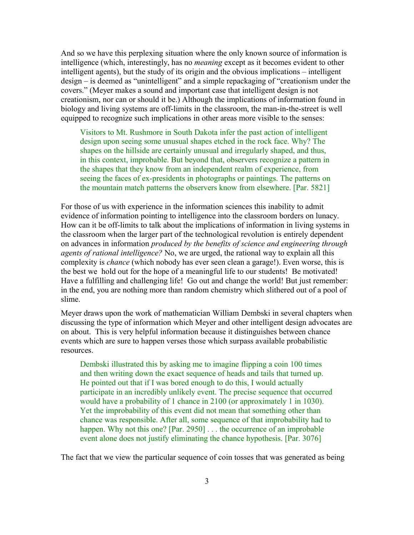And so we have this perplexing situation where the only known source of information is intelligence (which, interestingly, has no *meaning* except as it becomes evident to other intelligent agents), but the study of its origin and the obvious implications – intelligent design – is deemed as "unintelligent" and a simple repackaging of "creationism under the covers." (Meyer makes a sound and important case that intelligent design is not creationism, nor can or should it be.) Although the implications of information found in biology and living systems are off-limits in the classroom, the man-in-the-street is well equipped to recognize such implications in other areas more visible to the senses:

Visitors to Mt. Rushmore in South Dakota infer the past action of intelligent design upon seeing some unusual shapes etched in the rock face. Why? The shapes on the hillside are certainly unusual and irregularly shaped, and thus, in this context, improbable. But beyond that, observers recognize a pattern in the shapes that they know from an independent realm of experience, from seeing the faces of ex-presidents in photographs or paintings. The patterns on the mountain match patterns the observers know from elsewhere. [Par. 5821]

For those of us with experience in the information sciences this inability to admit evidence of information pointing to intelligence into the classroom borders on lunacy. How can it be off-limits to talk about the implications of information in living systems in the classroom when the larger part of the technological revolution is entirely dependent on advances in information *produced by the benefits of science and engineering through agents of rational intelligence?* No, we are urged, the rational way to explain all this complexity is *chance* (which nobody has ever seen clean a garage!). Even worse, this is the best we hold out for the hope of a meaningful life to our students! Be motivated! Have a fulfilling and challenging life! Go out and change the world! But just remember: in the end, you are nothing more than random chemistry which slithered out of a pool of slime.

Meyer draws upon the work of mathematician William Dembski in several chapters when discussing the type of information which Meyer and other intelligent design advocates are on about. This is very helpful information because it distinguishes between chance events which are sure to happen verses those which surpass available probabilistic resources.

Dembski illustrated this by asking me to imagine flipping a coin 100 times and then writing down the exact sequence of heads and tails that turned up. He pointed out that if I was bored enough to do this, I would actually participate in an incredibly unlikely event. The precise sequence that occurred would have a probability of 1 chance in 2100 (or approximately 1 in 1030). Yet the improbability of this event did not mean that something other than chance was responsible. After all, some sequence of that improbability had to happen. Why not this one? [Par. 2950] . . . the occurrence of an improbable event alone does not justify eliminating the chance hypothesis. [Par. 3076]

The fact that we view the particular sequence of coin tosses that was generated as being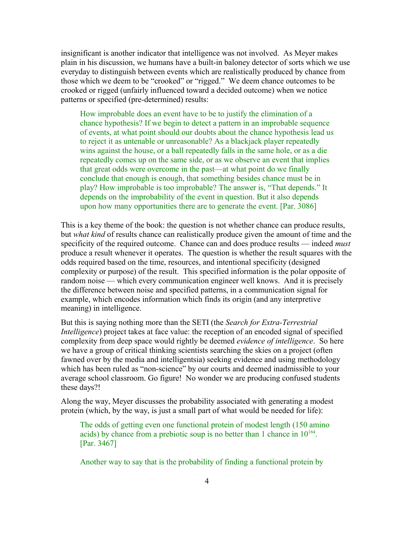insignificant is another indicator that intelligence was not involved. As Meyer makes plain in his discussion, we humans have a built-in baloney detector of sorts which we use everyday to distinguish between events which are realistically produced by chance from those which we deem to be "crooked" or "rigged." We deem chance outcomes to be crooked or rigged (unfairly influenced toward a decided outcome) when we notice patterns or specified (pre-determined) results:

How improbable does an event have to be to justify the elimination of a chance hypothesis? If we begin to detect a pattern in an improbable sequence of events, at what point should our doubts about the chance hypothesis lead us to reject it as untenable or unreasonable? As a blackjack player repeatedly wins against the house, or a ball repeatedly falls in the same hole, or as a die repeatedly comes up on the same side, or as we observe an event that implies that great odds were overcome in the past—at what point do we finally conclude that enough is enough, that something besides chance must be in play? How improbable is too improbable? The answer is, "That depends." It depends on the improbability of the event in question. But it also depends upon how many opportunities there are to generate the event. [Par. 3086]

This is a key theme of the book: the question is not whether chance can produce results, but *what kind* of results chance can realistically produce given the amount of time and the specificity of the required outcome. Chance can and does produce results — indeed *must* produce a result whenever it operates. The question is whether the result squares with the odds required based on the time, resources, and intentional specificity (designed complexity or purpose) of the result. This specified information is the polar opposite of random noise — which every communication engineer well knows. And it is precisely the difference between noise and specified patterns, in a communication signal for example, which encodes information which finds its origin (and any interpretive meaning) in intelligence.

But this is saying nothing more than the SETI (the *Search for Extra-Terrestrial Intelligence*) project takes at face value: the reception of an encoded signal of specified complexity from deep space would rightly be deemed *evidence of intelligence*. So here we have a group of critical thinking scientists searching the skies on a project (often fawned over by the media and intelligentsia) seeking evidence and using methodology which has been ruled as "non-science" by our courts and deemed inadmissible to your average school classroom. Go figure! No wonder we are producing confused students these days?!

Along the way, Meyer discusses the probability associated with generating a modest protein (which, by the way, is just a small part of what would be needed for life):

The odds of getting even one functional protein of modest length (150 amino acids) by chance from a prebiotic soup is no better than 1 chance in  $10^{164}$ . [Par. 3467]

Another way to say that is the probability of finding a functional protein by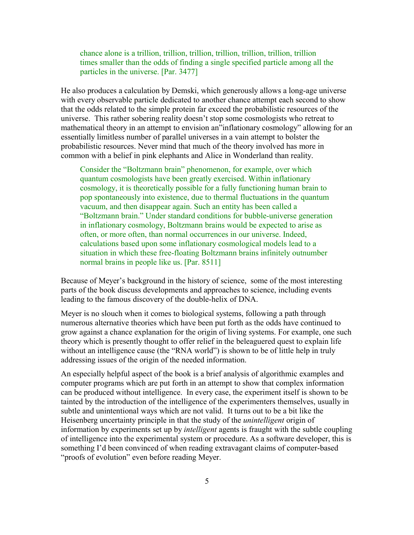chance alone is a trillion, trillion, trillion, trillion, trillion, trillion, trillion times smaller than the odds of finding a single specified particle among all the particles in the universe. [Par. 3477]

He also produces a calculation by Demski, which generously allows a long-age universe with every observable particle dedicated to another chance attempt each second to show that the odds related to the simple protein far exceed the probabilistic resources of the universe. This rather sobering reality doesn't stop some cosmologists who retreat to mathematical theory in an attempt to envision an"inflationary cosmology" allowing for an essentially limitless number of parallel universes in a vain attempt to bolster the probabilistic resources. Never mind that much of the theory involved has more in common with a belief in pink elephants and Alice in Wonderland than reality.

Consider the "Boltzmann brain" phenomenon, for example, over which quantum cosmologists have been greatly exercised. Within inflationary cosmology, it is theoretically possible for a fully functioning human brain to pop spontaneously into existence, due to thermal fluctuations in the quantum vacuum, and then disappear again. Such an entity has been called a "Boltzmann brain." Under standard conditions for bubble-universe generation in inflationary cosmology, Boltzmann brains would be expected to arise as often, or more often, than normal occurrences in our universe. Indeed, calculations based upon some inflationary cosmological models lead to a situation in which these free-floating Boltzmann brains infinitely outnumber normal brains in people like us. [Par. 8511]

Because of Meyer's background in the history of science, some of the most interesting parts of the book discuss developments and approaches to science, including events leading to the famous discovery of the double-helix of DNA.

Meyer is no slouch when it comes to biological systems, following a path through numerous alternative theories which have been put forth as the odds have continued to grow against a chance explanation for the origin of living systems. For example, one such theory which is presently thought to offer relief in the beleaguered quest to explain life without an intelligence cause (the "RNA world") is shown to be of little help in truly addressing issues of the origin of the needed information.

An especially helpful aspect of the book is a brief analysis of algorithmic examples and computer programs which are put forth in an attempt to show that complex information can be produced without intelligence. In every case, the experiment itself is shown to be tainted by the introduction of the intelligence of the experimenters themselves, usually in subtle and unintentional ways which are not valid. It turns out to be a bit like the Heisenberg uncertainty principle in that the study of the *unintelligent* origin of information by experiments set up by *intelligent* agents is fraught with the subtle coupling of intelligence into the experimental system or procedure. As a software developer, this is something I'd been convinced of when reading extravagant claims of computer-based "proofs of evolution" even before reading Meyer.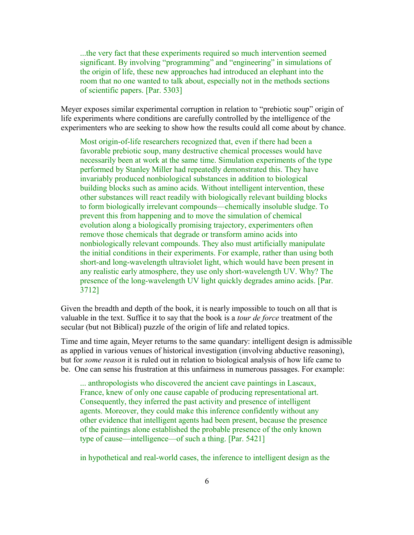...the very fact that these experiments required so much intervention seemed significant. By involving "programming" and "engineering" in simulations of the origin of life, these new approaches had introduced an elephant into the room that no one wanted to talk about, especially not in the methods sections of scientific papers. [Par. 5303]

Meyer exposes similar experimental corruption in relation to "prebiotic soup" origin of life experiments where conditions are carefully controlled by the intelligence of the experimenters who are seeking to show how the results could all come about by chance.

Most origin-of-life researchers recognized that, even if there had been a favorable prebiotic soup, many destructive chemical processes would have necessarily been at work at the same time. Simulation experiments of the type performed by Stanley Miller had repeatedly demonstrated this. They have invariably produced nonbiological substances in addition to biological building blocks such as amino acids. Without intelligent intervention, these other substances will react readily with biologically relevant building blocks to form biologically irrelevant compounds—chemically insoluble sludge. To prevent this from happening and to move the simulation of chemical evolution along a biologically promising trajectory, experimenters often remove those chemicals that degrade or transform amino acids into nonbiologically relevant compounds. They also must artificially manipulate the initial conditions in their experiments. For example, rather than using both short-and long-wavelength ultraviolet light, which would have been present in any realistic early atmosphere, they use only short-wavelength UV. Why? The presence of the long-wavelength UV light quickly degrades amino acids. [Par. 3712]

Given the breadth and depth of the book, it is nearly impossible to touch on all that is valuable in the text. Suffice it to say that the book is a *tour de force* treatment of the secular (but not Biblical) puzzle of the origin of life and related topics.

Time and time again, Meyer returns to the same quandary: intelligent design is admissible as applied in various venues of historical investigation (involving abductive reasoning), but for *some reason* it is ruled out in relation to biological analysis of how life came to be. One can sense his frustration at this unfairness in numerous passages. For example:

... anthropologists who discovered the ancient cave paintings in Lascaux, France, knew of only one cause capable of producing representational art. Consequently, they inferred the past activity and presence of intelligent agents. Moreover, they could make this inference confidently without any other evidence that intelligent agents had been present, because the presence of the paintings alone established the probable presence of the only known type of cause—intelligence—of such a thing. [Par. 5421]

in hypothetical and real-world cases, the inference to intelligent design as the